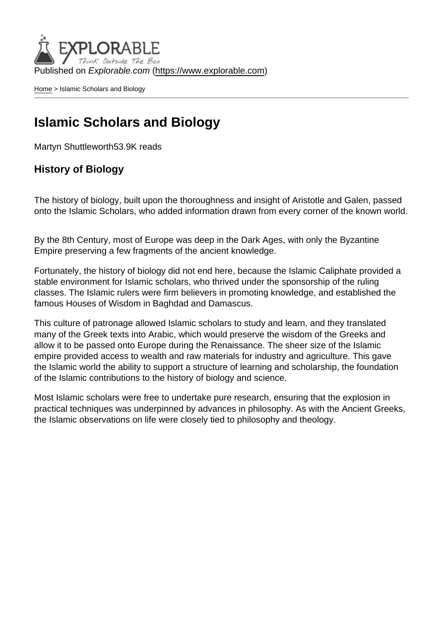Published on Explorable.com (<https://www.explorable.com>)

[Home](https://www.explorable.com/) > Islamic Scholars and Biology

#### Islamic Scholars and Biology

Martyn Shuttleworth53.9K reads

History of Biology

The history of biology, built upon the thoroughness and insight of Aristotle and Galen, passed onto the Islamic Scholars, who added information drawn from every corner of the known world.

By the 8th Century, most of Europe was deep in the Dark Ages, with only the Byzantine Empire preserving a few fragments of the ancient knowledge.

Fortunately, the history of biology did not end here, because the Islamic Caliphate provided a stable environment for Islamic scholars, who thrived under the sponsorship of the ruling classes. The Islamic rulers were firm believers in promoting knowledge, and established the famous Houses of Wisdom in Baghdad and Damascus.

This culture of patronage allowed Islamic scholars to study and learn, and they translated many of the Greek texts into Arabic, which would preserve the wisdom of the Greeks and allow it to be passed onto Europe during the Renaissance. The sheer size of the Islamic empire provided access to wealth and raw materials for industry and agriculture. This gave the Islamic world the ability to support a structure of learning and scholarship, the foundation of the Islamic contributions to the history of biology and science.

Most Islamic scholars were free to undertake pure research, ensuring that the explosion in practical techniques was underpinned by advances in philosophy. As with the Ancient Greeks, the Islamic observations on life were closely tied to philosophy and theology.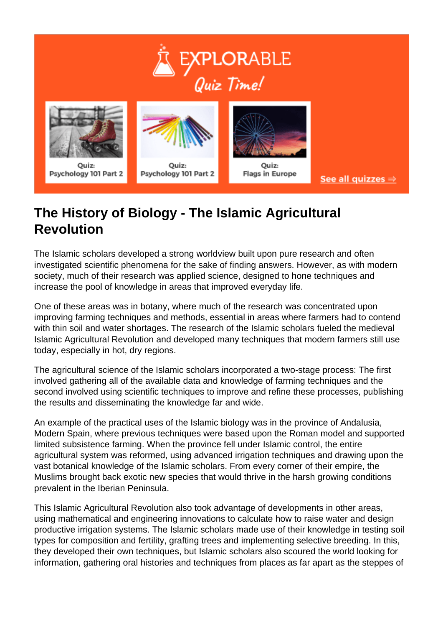



# **The History of Biology - The Islamic Agricultural Revolution**

The Islamic scholars developed a strong worldview built upon pure research and often investigated scientific phenomena for the sake of finding answers. However, as with modern society, much of their research was applied science, designed to hone techniques and increase the pool of knowledge in areas that improved everyday life.

One of these areas was in botany, where much of the research was concentrated upon improving farming techniques and methods, essential in areas where farmers had to contend with thin soil and water shortages. The research of the Islamic scholars fueled the medieval Islamic Agricultural Revolution and developed many techniques that modern farmers still use today, especially in hot, dry regions.

The agricultural science of the Islamic scholars incorporated a two-stage process: The first involved gathering all of the available data and knowledge of farming techniques and the second involved using scientific techniques to improve and refine these processes, publishing the results and disseminating the knowledge far and wide.

An example of the practical uses of the Islamic biology was in the province of Andalusia, Modern Spain, where previous techniques were based upon the Roman model and supported limited subsistence farming. When the province fell under Islamic control, the entire agricultural system was reformed, using advanced irrigation techniques and drawing upon the vast botanical knowledge of the Islamic scholars. From every corner of their empire, the Muslims brought back exotic new species that would thrive in the harsh growing conditions prevalent in the Iberian Peninsula.

This Islamic Agricultural Revolution also took advantage of developments in other areas, using mathematical and engineering innovations to calculate how to raise water and design productive irrigation systems. The Islamic scholars made use of their knowledge in testing soil types for composition and fertility, grafting trees and implementing selective breeding. In this, they developed their own techniques, but Islamic scholars also scoured the world looking for information, gathering oral histories and techniques from places as far apart as the steppes of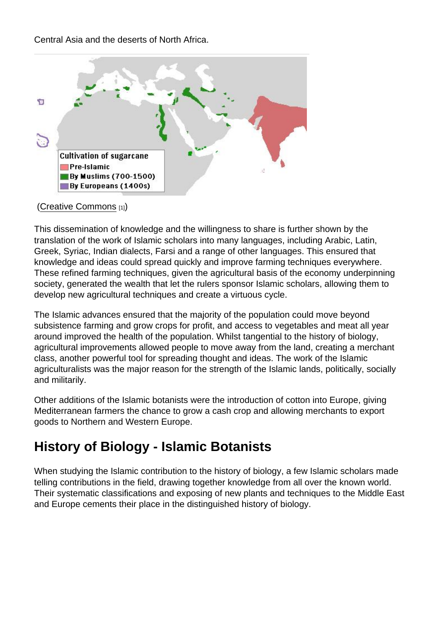#### ([Creative Commons](http://en.wikipedia.org/wiki/User:Bless_sins) [1])

This dissemination of knowledge and the willingness to share is further shown by the translation of the work of Islamic scholars into many languages, including Arabic, Latin, Greek, Syriac, Indian dialects, Farsi and a range of other languages. This ensured that knowledge and ideas could spread quickly and improve farming techniques everywhere. These refined farming techniques, given the agricultural basis of the economy underpinning society, generated the wealth that let the rulers sponsor Islamic scholars, allowing them to develop new agricultural techniques and create a virtuous cycle.

The Islamic advances ensured that the majority of the population could move beyond subsistence farming and grow crops for profit, and access to vegetables and meat all year around improved the health of the population. Whilst tangential to the history of biology, agricultural improvements allowed people to move away from the land, creating a merchant class, another powerful tool for spreading thought and ideas. The work of the Islamic agriculturalists was the major reason for the strength of the Islamic lands, politically, socially and militarily.

Other additions of the Islamic botanists were the introduction of cotton into Europe, giving Mediterranean farmers the chance to grow a cash crop and allowing merchants to export goods to Northern and Western Europe.

## History of Biology - Islamic Botanists

When studying the Islamic contribution to the history of biology, a few Islamic scholars made telling contributions in the field, drawing together knowledge from all over the known world. Their systematic classifications and exposing of new plants and techniques to the Middle East and Europe cements their place in the distinguished history of biology.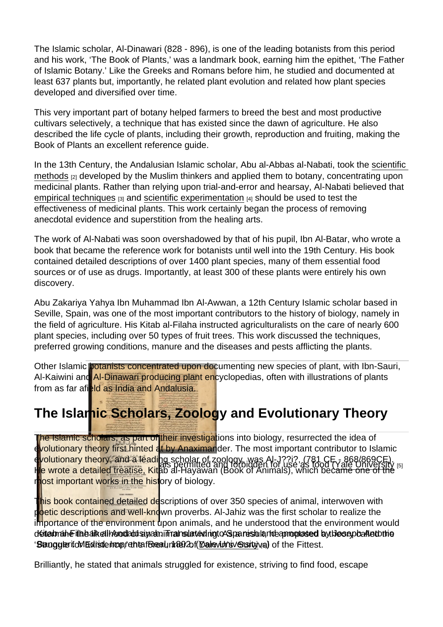The Islamic scholar, Al-Dinawari (828 - 896), is one of the leading botanists from this period and his work, 'The Book of Plants,' was a landmark book, earning him the epithet, 'The Father of Islamic Botany.' Like the Greeks and Romans before him, he studied and documented at least 637 plants but, importantly, he related plant evolution and related how plant species developed and diversified over time.

This very important part of botany helped farmers to breed the best and most productive cultivars selectively, a technique that has existed since the dawn of agriculture. He also described the life cycle of plants, including their growth, reproduction and fruiting, making the Book of Plants an excellent reference guide.

In the 13th Century, the Andalusian Islamic scholar, Abu al-Abbas al-Nabati, took the [scientific](https://www.explorable.com/what-is-the-scientific-method)  [methods](https://www.explorable.com/what-is-the-scientific-method) [2] developed by the Muslim thinkers and applied them to botany, concentrating upon medicinal plants. Rather than relying upon trial-and-error and hearsay, Al-Nabati believed that [empirical techniques](https://www.explorable.com/empirical-research)  $[3]$  and [scientific experimentation](https://www.explorable.com/conducting-an-experiment)  $[4]$  should be used to test the effectiveness of medicinal plants. This work certainly began the process of removing anecdotal evidence and superstition from the healing arts.

The work of Al-Nabati was soon overshadowed by that of his pupil, Ibn Al-Batar, who wrote a book that became the reference work for botanists until well into the 19th Century. His book contained detailed descriptions of over 1400 plant species, many of them essential food sources or of use as drugs. Importantly, at least 300 of these plants were entirely his own discovery.

Abu Zakariya Yahya Ibn Muhammad Ibn Al-Awwan, a 12th Century Islamic scholar based in Seville, Spain, was one of the most important contributors to the history of biology, namely in the field of agriculture. His Kitab al-Filaha instructed agriculturalists on the care of nearly 600 plant species, including over 50 types of fruit trees. This work discussed the techniques, preferred growing conditions, manure and the diseases and pests afflicting the plants.

Other Islamic botanists concentrated upon documenting new species of plant, with Ibn-Sauri, Al-Kaiwini and Al-Dinawari producing plant encyclopedias, often with illustrations of plants from as far afield as India and Andalusia.

## The Islamic Scholars, Zoology and Evolutionary Theory

Dictionary of animals permitted and forbidden for use as food [\(Yale University](http://www.library.yale.edu/htmldocs/copyright) [5] ) The Islamic scholars, as part of their investigations into biology, resurrected the idea of evolutionary theory first hinted at by Anaximander. The most important contributor to Islamic evolutionary theory, and a leading scholar of zoology, was Al-J??i?, (781 CE - 868/869CE). He wrote a detailed treatise, Kitab al-Hayawan (Book of Animals), which became one of the most important works in the history of biology.

determah Filabalk elihood aut siyaan in ranslated nigt AS panish la no apropte sed by Ides ap balle to the 'StanggleritoMEdistehcop, enterforeauninen 2of Male vid ravious ty val of the Fittest. This book contained detailed descriptions of over 350 species of animal, interwoven with poetic descriptions and well-known proverbs. Al-Jahiz was the first scholar to realize the importance of the environment upon animals, and he understood that the environment would

Brilliantly, he stated that animals struggled for existence, striving to find food, escape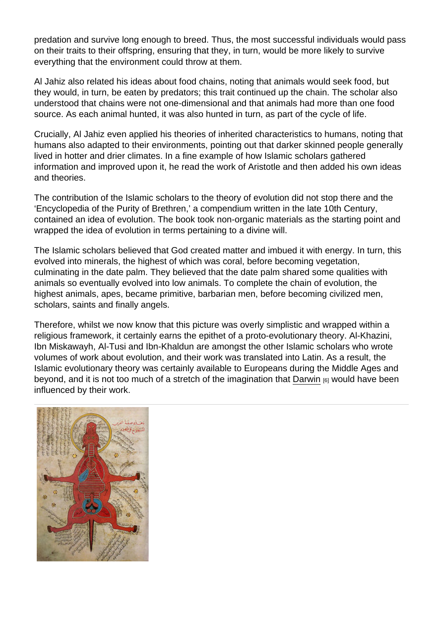predation and survive long enough to breed. Thus, the most successful individuals would pass on their traits to their offspring, ensuring that they, in turn, would be more likely to survive everything that the environment could throw at them.

Al Jahiz also related his ideas about food chains, noting that animals would seek food, but they would, in turn, be eaten by predators; this trait continued up the chain. The scholar also understood that chains were not one-dimensional and that animals had more than one food source. As each animal hunted, it was also hunted in turn, as part of the cycle of life.

Crucially, Al Jahiz even applied his theories of inherited characteristics to humans, noting that humans also adapted to their environments, pointing out that darker skinned people generally lived in hotter and drier climates. In a fine example of how Islamic scholars gathered information and improved upon it, he read the work of Aristotle and then added his own ideas and theories.

The contribution of the Islamic scholars to the theory of evolution did not stop there and the 'Encyclopedia of the Purity of Brethren,' a compendium written in the late 10th Century, contained an idea of evolution. The book took non-organic materials as the starting point and wrapped the idea of evolution in terms pertaining to a divine will.

The Islamic scholars believed that God created matter and imbued it with energy. In turn, this evolved into minerals, the highest of which was coral, before becoming vegetation, culminating in the date palm. They believed that the date palm shared some qualities with animals so eventually evolved into low animals. To complete the chain of evolution, the highest animals, apes, became primitive, barbarian men, before becoming civilized men, scholars, saints and finally angels.

Therefore, whilst we now know that this picture was overly simplistic and wrapped within a religious framework, it certainly earns the epithet of a proto-evolutionary theory. Al-Khazini, Ibn Miskawayh, Al-Tusi and Ibn-Khaldun are amongst the other Islamic scholars who wrote volumes of work about evolution, and their work was translated into Latin. As a result, the Islamic evolutionary theory was certainly available to Europeans during the Middle Ages and beyond, and it is not too much of a stretch of the imagination that [Darwin](https://www.explorable.com/darwins-finches) [6] would have been influenced by their work.